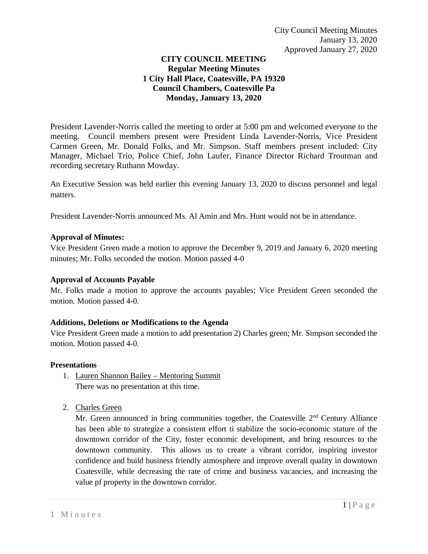# **CITY COUNCIL MEETING Regular Meeting Minutes 1 City Hall Place, Coatesville, PA 19320 Council Chambers, Coatesville Pa Monday, January 13, 2020**

President Lavender-Norris called the meeting to order at 5:00 pm and welcomed everyone to the meeting. Council members present were President Linda Lavender-Norris, Vice President Carmen Green, Mr. Donald Folks, and Mr. Simpson. Staff members present included: City Manager, Michael Trio, Police Chief, John Laufer, Finance Director Richard Troutman and recording secretary Ruthann Mowday.

An Executive Session was held earlier this evening January 13, 2020 to discuss personnel and legal matters.

President Lavender-Norris announced Ms. Al Amin and Mrs. Hunt would not be in attendance.

### **Approval of Minutes:**

Vice President Green made a motion to approve the December 9, 2019 and January 6, 2020 meeting minutes; Mr. Folks seconded the motion. Motion passed 4-0

### **Approval of Accounts Payable**

Mr. Folks made a motion to approve the accounts payables; Vice President Green seconded the motion. Motion passed 4-0.

### **Additions, Deletions or Modifications to the Agenda**

Vice President Green made a motion to add presentation 2) Charles green; Mr. Simpson seconded the motion. Motion passed 4-0.

### **Presentations**

- 1. Lauren Shannon Bailey Mentoring Summit There was no presentation at this time.
- 2. Charles Green

Mr. Green announced in bring communities together, the Coatesville  $2<sup>nd</sup>$  Century Alliance has been able to strategize a consistent effort ti stabilize the socio-economic stature of the downtown corridor of the City, foster economic development, and bring resources to the downtown community. This allows us to create a vibrant corridor, inspiring investor confidence and build business friendly atmosphere and improve overall quality in downtown Coatesville, while decreasing the rate of crime and business vacancies, and increasing the value pf property in the downtown corridor.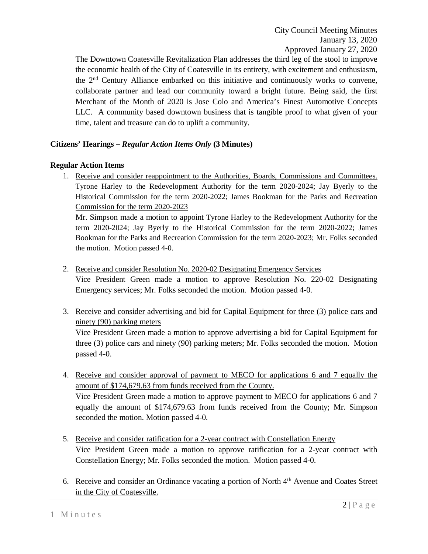The Downtown Coatesville Revitalization Plan addresses the third leg of the stool to improve the economic health of the City of Coatesville in its entirety, with excitement and enthusiasm, the 2nd Century Alliance embarked on this initiative and continuously works to convene, collaborate partner and lead our community toward a bright future. Being said, the first Merchant of the Month of 2020 is Jose Colo and America's Finest Automotive Concepts LLC. A community based downtown business that is tangible proof to what given of your time, talent and treasure can do to uplift a community.

# **Citizens' Hearings –** *Regular Action Items Only* **(3 Minutes)**

### **Regular Action Items**

1. Receive and consider reappointment to the Authorities, Boards, Commissions and Committees. Tyrone Harley to the Redevelopment Authority for the term 2020-2024; Jay Byerly to the Historical Commission for the term 2020-2022; James Bookman for the Parks and Recreation Commission for the term 2020-2023

Mr. Simpson made a motion to appoint Tyrone Harley to the Redevelopment Authority for the term 2020-2024; Jay Byerly to the Historical Commission for the term 2020-2022; James Bookman for the Parks and Recreation Commission for the term 2020-2023; Mr. Folks seconded the motion. Motion passed 4-0.

2. Receive and consider Resolution No. 2020-02 Designating Emergency Services

Vice President Green made a motion to approve Resolution No. 220-02 Designating Emergency services; Mr. Folks seconded the motion. Motion passed 4-0.

3. Receive and consider advertising and bid for Capital Equipment for three (3) police cars and ninety (90) parking meters

Vice President Green made a motion to approve advertising a bid for Capital Equipment for three (3) police cars and ninety (90) parking meters; Mr. Folks seconded the motion. Motion passed 4-0.

4. Receive and consider approval of payment to MECO for applications 6 and 7 equally the amount of \$174,679.63 from funds received from the County.

Vice President Green made a motion to approve payment to MECO for applications 6 and 7 equally the amount of \$174,679.63 from funds received from the County; Mr. Simpson seconded the motion. Motion passed 4-0.

- 5. Receive and consider ratification for a 2-year contract with Constellation Energy Vice President Green made a motion to approve ratification for a 2-year contract with Constellation Energy; Mr. Folks seconded the motion. Motion passed 4-0.
- 6. Receive and consider an Ordinance vacating a portion of North 4<sup>th</sup> Avenue and Coates Street in the City of Coatesville.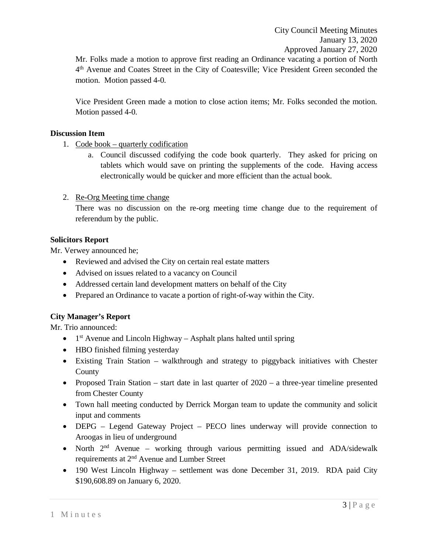Mr. Folks made a motion to approve first reading an Ordinance vacating a portion of North 4th Avenue and Coates Street in the City of Coatesville; Vice President Green seconded the motion. Motion passed 4-0.

Vice President Green made a motion to close action items; Mr. Folks seconded the motion. Motion passed 4-0.

#### **Discussion Item**

1. Code book – quarterly codification

a. Council discussed codifying the code book quarterly. They asked for pricing on tablets which would save on printing the supplements of the code. Having access electronically would be quicker and more efficient than the actual book.

### 2. Re-Org Meeting time change

There was no discussion on the re-org meeting time change due to the requirement of referendum by the public.

#### **Solicitors Report**

Mr. Verwey announced he;

- Reviewed and advised the City on certain real estate matters
- Advised on issues related to a vacancy on Council
- Addressed certain land development matters on behalf of the City
- Prepared an Ordinance to vacate a portion of right-of-way within the City.

### **City Manager's Report**

Mr. Trio announced:

- $1<sup>st</sup>$  Avenue and Lincoln Highway Asphalt plans halted until spring
- HBO finished filming yesterday
- Existing Train Station walkthrough and strategy to piggyback initiatives with Chester County
- Proposed Train Station start date in last quarter of 2020 a three-year timeline presented from Chester County
- Town hall meeting conducted by Derrick Morgan team to update the community and solicit input and comments
- DEPG Legend Gateway Project PECO lines underway will provide connection to Aroogas in lieu of underground
- North  $2<sup>nd</sup>$  Avenue working through various permitting issued and ADA/sidewalk requirements at 2nd Avenue and Lumber Street
- 190 West Lincoln Highway settlement was done December 31, 2019. RDA paid City \$190,608.89 on January 6, 2020.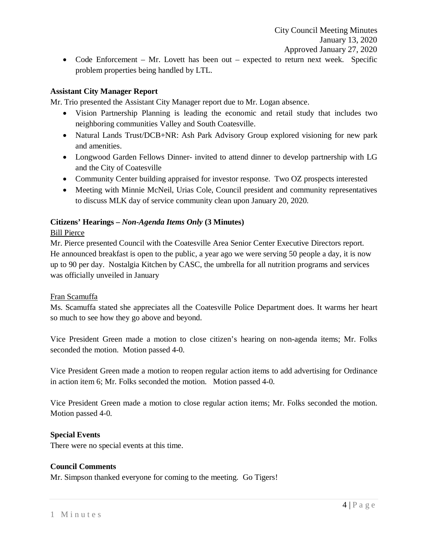• Code Enforcement – Mr. Lovett has been out – expected to return next week. Specific problem properties being handled by LTL.

# **Assistant City Manager Report**

Mr. Trio presented the Assistant City Manager report due to Mr. Logan absence.

- Vision Partnership Planning is leading the economic and retail study that includes two neighboring communities Valley and South Coatesville.
- Natural Lands Trust/DCB+NR: Ash Park Advisory Group explored visioning for new park and amenities.
- Longwood Garden Fellows Dinner- invited to attend dinner to develop partnership with LG and the City of Coatesville
- Community Center building appraised for investor response. Two OZ prospects interested
- Meeting with Minnie McNeil, Urias Cole, Council president and community representatives to discuss MLK day of service community clean upon January 20, 2020.

### **Citizens' Hearings –** *Non-Agenda Items Only* **(3 Minutes)**

### Bill Pierce

Mr. Pierce presented Council with the Coatesville Area Senior Center Executive Directors report. He announced breakfast is open to the public, a year ago we were serving 50 people a day, it is now up to 90 per day. Nostalgia Kitchen by CASC, the umbrella for all nutrition programs and services was officially unveiled in January

### Fran Scamuffa

Ms. Scamuffa stated she appreciates all the Coatesville Police Department does. It warms her heart so much to see how they go above and beyond.

Vice President Green made a motion to close citizen's hearing on non-agenda items; Mr. Folks seconded the motion. Motion passed 4-0.

Vice President Green made a motion to reopen regular action items to add advertising for Ordinance in action item 6; Mr. Folks seconded the motion. Motion passed 4-0.

Vice President Green made a motion to close regular action items; Mr. Folks seconded the motion. Motion passed 4-0.

### **Special Events**

There were no special events at this time.

#### **Council Comments**

Mr. Simpson thanked everyone for coming to the meeting. Go Tigers!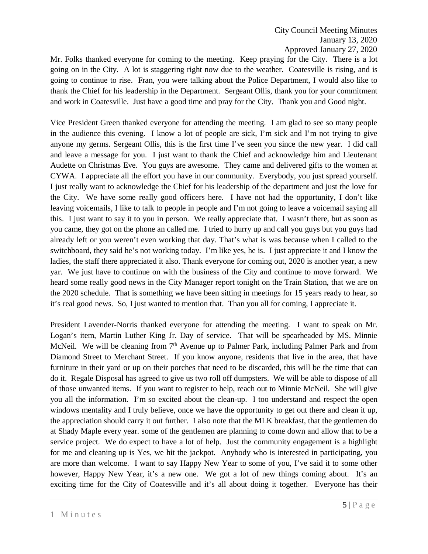Mr. Folks thanked everyone for coming to the meeting. Keep praying for the City. There is a lot going on in the City. A lot is staggering right now due to the weather. Coatesville is rising, and is going to continue to rise. Fran, you were talking about the Police Department, I would also like to thank the Chief for his leadership in the Department. Sergeant Ollis, thank you for your commitment and work in Coatesville. Just have a good time and pray for the City. Thank you and Good night.

Vice President Green thanked everyone for attending the meeting. I am glad to see so many people in the audience this evening. I know a lot of people are sick, I'm sick and I'm not trying to give anyone my germs. Sergeant Ollis, this is the first time I've seen you since the new year. I did call and leave a message for you. I just want to thank the Chief and acknowledge him and Lieutenant Audette on Christmas Eve. You guys are awesome. They came and delivered gifts to the women at CYWA. I appreciate all the effort you have in our community. Everybody, you just spread yourself. I just really want to acknowledge the Chief for his leadership of the department and just the love for the City. We have some really good officers here. I have not had the opportunity, I don't like leaving voicemails, I like to talk to people in people and I'm not going to leave a voicemail saying all this. I just want to say it to you in person. We really appreciate that. I wasn't there, but as soon as you came, they got on the phone an called me. I tried to hurry up and call you guys but you guys had already left or you weren't even working that day. That's what is was because when I called to the switchboard, they said he's not working today. I'm like yes, he is. I just appreciate it and I know the ladies, the staff there appreciated it also. Thank everyone for coming out, 2020 is another year, a new yar. We just have to continue on with the business of the City and continue to move forward. We heard some really good news in the City Manager report tonight on the Train Station, that we are on the 2020 schedule. That is something we have been sitting in meetings for 15 years ready to hear, so it's real good news. So, I just wanted to mention that. Than you all for coming, I appreciate it.

President Lavender-Norris thanked everyone for attending the meeting. I want to speak on Mr. Logan's item, Martin Luther King Jr. Day of service. That will be spearheaded by MS. Minnie McNeil. We will be cleaning from  $7<sup>th</sup>$  Avenue up to Palmer Park, including Palmer Park and from Diamond Street to Merchant Street. If you know anyone, residents that live in the area, that have furniture in their yard or up on their porches that need to be discarded, this will be the time that can do it. Regale Disposal has agreed to give us two roll off dumpsters. We will be able to dispose of all of those unwanted items. If you want to register to help, reach out to Minnie McNeil. She will give you all the information. I'm so excited about the clean-up. I too understand and respect the open windows mentality and I truly believe, once we have the opportunity to get out there and clean it up, the appreciation should carry it out further. I also note that the MLK breakfast, that the gentlemen do at Shady Maple every year. some of the gentlemen are planning to come down and allow that to be a service project. We do expect to have a lot of help. Just the community engagement is a highlight for me and cleaning up is Yes, we hit the jackpot. Anybody who is interested in participating, you are more than welcome. I want to say Happy New Year to some of you, I've said it to some other however, Happy New Year, it's a new one. We got a lot of new things coming about. It's an exciting time for the City of Coatesville and it's all about doing it together. Everyone has their